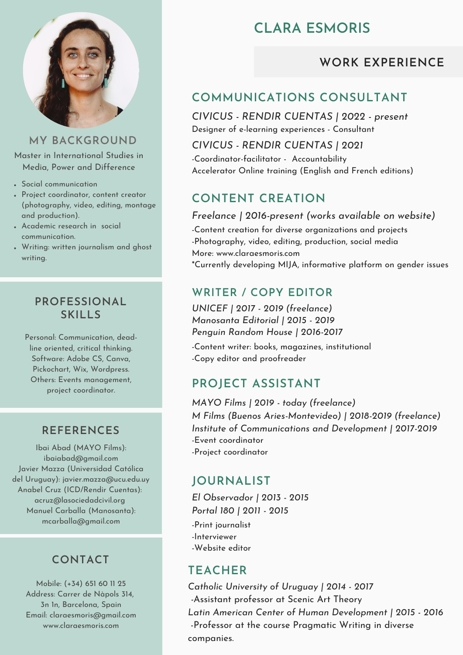

#### **MY BACKGROUND**

Master in International Studies in Media, Power and Difference

- Social communication
- Project coordinator, content creator (photography, video, editing, montage and production).
- Academic research in social communication.
- Writing: written journalism and ghost writing.

#### **PROFESSIONAL SKILLS**

Personal: Communication, deadline oriented, critical thinking. Software: Adobe CS, Canva, Pickochart, Wix, Wordpress. Others: Events management, project coordinator.

#### **REFERENCES**

Ibai Abad (MAYO Films): ibaiabad@gmail.com Javier Mazza (Universidad Católica del Uruguay): javier.mazza@ucu.edu.uy Anabel Cruz (ICD/Rendir Cuentas): acruz@lasociedadcivil.org Manuel Carballa (Manosanta): mcarballa@gmail.com

### **CONTACT**

Mobile: (+34) 651 60 11 25 Address: Carrer de Nàpols 314, 3n 1n, Barcelona, Spain Email: claraesmoris@gmail.com www.claraesmoris.com

# **CLARA ESMORIS**

### **WORK EXPERIENCE**

### **COMMUNICATIONS CONSULTANT**

*CIVICUS - RENDIR CUENTAS | 2022 - present* Designer of e-learning experiences - Consultant

*CIVICUS - RENDIR CUENTAS | 2021* -Coordinator-facilitator - Accountability Accelerator Online training (English and French editions)

## **CONTENT CREATION**

*Freelance | 2016-present (works available on website)*

-Content creation for diverse organizations and projects -Photography, video, editing, production, social media More: www.claraesmoris.com \*Currently developing MIJA, informative platform on gender issues

#### **WRITER / COPY EDITOR**

*UNICEF | 2017 - 2019 (freelance) Manosanta Editorial | 2015 - 2019 Penguin Random House | 2016-2017*

-Content writer: books, magazines, institutional -Copy editor and proofreader

### **PROJECT ASSISTANT**

-Event coordinator -Project coordinator *MAYO Films | 2019 - today (freelance) M Films (Buenos Aries-Montevideo) | 2018-2019 (freelance) Institute of Communications and Development | 2017-2019*

### **JOURNALIST**

-Print journalist -Interviewer -Website editor *El Observador | 2013 - 2015 Portal 180 | 2011 - 2015*

### **TEACHER**

*Catholic University of Uruguay | 2014 - 2017 -*Assistant professor at Scenic Art Theory *Latin American Center of Human Development | 2015 - 2016* -Professor at the course Pragmatic Writing in diverse companies.